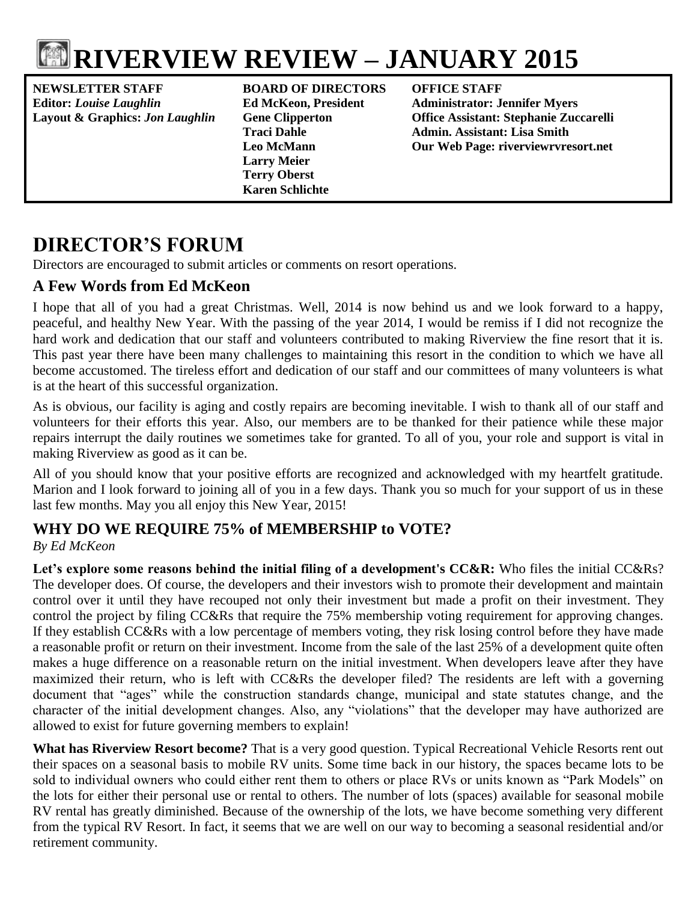

**NEWSLETTER STAFF BOARD OF DIRECTORS OFFICE STAFF Editor:** *Louise Laughlin* **Ed McKeon, President Administrator: Jennifer Myers**

**Larry Meier Terry Oberst Karen Schlichte**

**Layout & Graphics:** *Jon Laughlin* **Gene Clipperton Office Assistant: Stephanie Zuccarelli** Admin. Assistant: Lisa Smith **Leo McMann Our Web Page: riverviewrvresort.net**

# **DIRECTOR'S FORUM**

Directors are encouraged to submit articles or comments on resort operations.

## **A Few Words from Ed McKeon**

I hope that all of you had a great Christmas. Well, 2014 is now behind us and we look forward to a happy, peaceful, and healthy New Year. With the passing of the year 2014, I would be remiss if I did not recognize the hard work and dedication that our staff and volunteers contributed to making Riverview the fine resort that it is. This past year there have been many challenges to maintaining this resort in the condition to which we have all become accustomed. The tireless effort and dedication of our staff and our committees of many volunteers is what is at the heart of this successful organization.

As is obvious, our facility is aging and costly repairs are becoming inevitable. I wish to thank all of our staff and volunteers for their efforts this year. Also, our members are to be thanked for their patience while these major repairs interrupt the daily routines we sometimes take for granted. To all of you, your role and support is vital in making Riverview as good as it can be.

All of you should know that your positive efforts are recognized and acknowledged with my heartfelt gratitude. Marion and I look forward to joining all of you in a few days. Thank you so much for your support of us in these last few months. May you all enjoy this New Year, 2015!

# **WHY DO WE REQUIRE 75% of MEMBERSHIP to VOTE?**

*By Ed McKeon*

**Let's explore some reasons behind the initial filing of a development's CC&R:** Who files the initial CC&Rs? The developer does. Of course, the developers and their investors wish to promote their development and maintain control over it until they have recouped not only their investment but made a profit on their investment. They control the project by filing CC&Rs that require the 75% membership voting requirement for approving changes. If they establish CC&Rs with a low percentage of members voting, they risk losing control before they have made a reasonable profit or return on their investment. Income from the sale of the last 25% of a development quite often makes a huge difference on a reasonable return on the initial investment. When developers leave after they have maximized their return, who is left with CC&Rs the developer filed? The residents are left with a governing document that "ages" while the construction standards change, municipal and state statutes change, and the character of the initial development changes. Also, any "violations" that the developer may have authorized are allowed to exist for future governing members to explain!

**What has Riverview Resort become?** That is a very good question. Typical Recreational Vehicle Resorts rent out their spaces on a seasonal basis to mobile RV units. Some time back in our history, the spaces became lots to be sold to individual owners who could either rent them to others or place RVs or units known as "Park Models" on the lots for either their personal use or rental to others. The number of lots (spaces) available for seasonal mobile RV rental has greatly diminished. Because of the ownership of the lots, we have become something very different from the typical RV Resort. In fact, it seems that we are well on our way to becoming a seasonal residential and/or retirement community.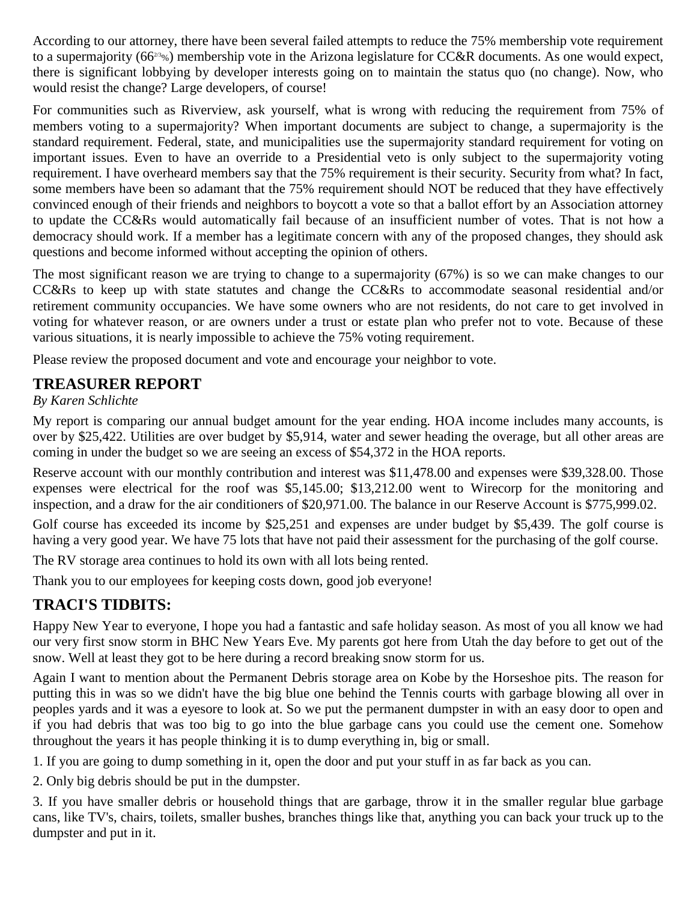According to our attorney, there have been several failed attempts to reduce the 75% membership vote requirement to a supermajority ( $66^{23}\%$ ) membership vote in the Arizona legislature for CC&R documents. As one would expect, there is significant lobbying by developer interests going on to maintain the status quo (no change). Now, who would resist the change? Large developers, of course!

For communities such as Riverview, ask yourself, what is wrong with reducing the requirement from 75% of members voting to a supermajority? When important documents are subject to change, a supermajority is the standard requirement. Federal, state, and municipalities use the supermajority standard requirement for voting on important issues. Even to have an override to a Presidential veto is only subject to the supermajority voting requirement. I have overheard members say that the 75% requirement is their security. Security from what? In fact, some members have been so adamant that the 75% requirement should NOT be reduced that they have effectively convinced enough of their friends and neighbors to boycott a vote so that a ballot effort by an Association attorney to update the CC&Rs would automatically fail because of an insufficient number of votes. That is not how a democracy should work. If a member has a legitimate concern with any of the proposed changes, they should ask questions and become informed without accepting the opinion of others.

The most significant reason we are trying to change to a supermajority (67%) is so we can make changes to our CC&Rs to keep up with state statutes and change the CC&Rs to accommodate seasonal residential and/or retirement community occupancies. We have some owners who are not residents, do not care to get involved in voting for whatever reason, or are owners under a trust or estate plan who prefer not to vote. Because of these various situations, it is nearly impossible to achieve the 75% voting requirement.

Please review the proposed document and vote and encourage your neighbor to vote.

## **TREASURER REPORT**

#### *By Karen Schlichte*

My report is comparing our annual budget amount for the year ending. HOA income includes many accounts, is over by \$25,422. Utilities are over budget by \$5,914, water and sewer heading the overage, but all other areas are coming in under the budget so we are seeing an excess of \$54,372 in the HOA reports.

Reserve account with our monthly contribution and interest was \$11,478.00 and expenses were \$39,328.00. Those expenses were electrical for the roof was \$5,145.00; \$13,212.00 went to Wirecorp for the monitoring and inspection, and a draw for the air conditioners of \$20,971.00. The balance in our Reserve Account is \$775,999.02.

Golf course has exceeded its income by \$25,251 and expenses are under budget by \$5,439. The golf course is having a very good year. We have 75 lots that have not paid their assessment for the purchasing of the golf course.

The RV storage area continues to hold its own with all lots being rented.

Thank you to our employees for keeping costs down, good job everyone!

# **TRACI'S TIDBITS:**

Happy New Year to everyone, I hope you had a fantastic and safe holiday season. As most of you all know we had our very first snow storm in BHC New Years Eve. My parents got here from Utah the day before to get out of the snow. Well at least they got to be here during a record breaking snow storm for us.

Again I want to mention about the Permanent Debris storage area on Kobe by the Horseshoe pits. The reason for putting this in was so we didn't have the big blue one behind the Tennis courts with garbage blowing all over in peoples yards and it was a eyesore to look at. So we put the permanent dumpster in with an easy door to open and if you had debris that was too big to go into the blue garbage cans you could use the cement one. Somehow throughout the years it has people thinking it is to dump everything in, big or small.

1. If you are going to dump something in it, open the door and put your stuff in as far back as you can.

2. Only big debris should be put in the dumpster.

3. If you have smaller debris or household things that are garbage, throw it in the smaller regular blue garbage cans, like TV's, chairs, toilets, smaller bushes, branches things like that, anything you can back your truck up to the dumpster and put in it.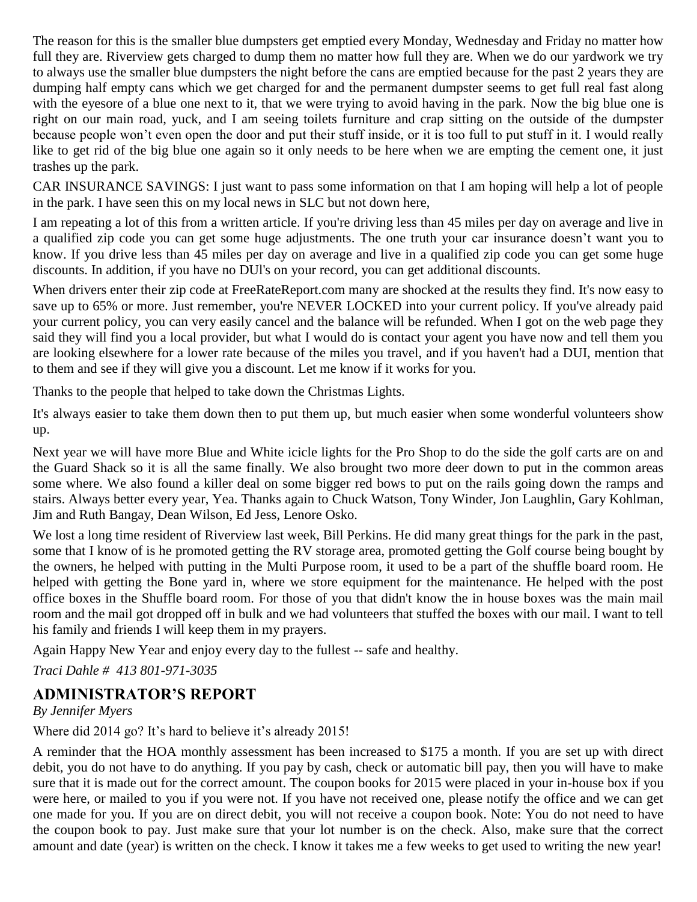The reason for this is the smaller blue dumpsters get emptied every Monday, Wednesday and Friday no matter how full they are. Riverview gets charged to dump them no matter how full they are. When we do our yardwork we try to always use the smaller blue dumpsters the night before the cans are emptied because for the past 2 years they are dumping half empty cans which we get charged for and the permanent dumpster seems to get full real fast along with the eyesore of a blue one next to it, that we were trying to avoid having in the park. Now the big blue one is right on our main road, yuck, and I am seeing toilets furniture and crap sitting on the outside of the dumpster because people won't even open the door and put their stuff inside, or it is too full to put stuff in it. I would really like to get rid of the big blue one again so it only needs to be here when we are empting the cement one, it just trashes up the park.

CAR INSURANCE SAVINGS: I just want to pass some information on that I am hoping will help a lot of people in the park. I have seen this on my local news in SLC but not down here,

I am repeating a lot of this from a written article. If you're driving less than 45 miles per day on average and live in a qualified zip code you can get some huge adjustments. The one truth your car insurance doesn't want you to know. If you drive less than 45 miles per day on average and live in a qualified zip code you can get some huge discounts. In addition, if you have no DUl's on your record, you can get additional discounts.

When drivers enter their zip code at FreeRateReport.com many are shocked at the results they find. It's now easy to save up to 65% or more. Just remember, you're NEVER LOCKED into your current policy. If you've already paid your current policy, you can very easily cancel and the balance will be refunded. When I got on the web page they said they will find you a local provider, but what I would do is contact your agent you have now and tell them you are looking elsewhere for a lower rate because of the miles you travel, and if you haven't had a DUI, mention that to them and see if they will give you a discount. Let me know if it works for you.

Thanks to the people that helped to take down the Christmas Lights.

It's always easier to take them down then to put them up, but much easier when some wonderful volunteers show up.

Next year we will have more Blue and White icicle lights for the Pro Shop to do the side the golf carts are on and the Guard Shack so it is all the same finally. We also brought two more deer down to put in the common areas some where. We also found a killer deal on some bigger red bows to put on the rails going down the ramps and stairs. Always better every year, Yea. Thanks again to Chuck Watson, Tony Winder, Jon Laughlin, Gary Kohlman, Jim and Ruth Bangay, Dean Wilson, Ed Jess, Lenore Osko.

We lost a long time resident of Riverview last week, Bill Perkins. He did many great things for the park in the past, some that I know of is he promoted getting the RV storage area, promoted getting the Golf course being bought by the owners, he helped with putting in the Multi Purpose room, it used to be a part of the shuffle board room. He helped with getting the Bone yard in, where we store equipment for the maintenance. He helped with the post office boxes in the Shuffle board room. For those of you that didn't know the in house boxes was the main mail room and the mail got dropped off in bulk and we had volunteers that stuffed the boxes with our mail. I want to tell his family and friends I will keep them in my prayers.

Again Happy New Year and enjoy every day to the fullest -- safe and healthy.

*Traci Dahle # 413 801-971-3035*

## **ADMINISTRATOR'S REPORT**

*By Jennifer Myers*

Where did 2014 go? It's hard to believe it's already 2015!

A reminder that the HOA monthly assessment has been increased to \$175 a month. If you are set up with direct debit, you do not have to do anything. If you pay by cash, check or automatic bill pay, then you will have to make sure that it is made out for the correct amount. The coupon books for 2015 were placed in your in-house box if you were here, or mailed to you if you were not. If you have not received one, please notify the office and we can get one made for you. If you are on direct debit, you will not receive a coupon book. Note: You do not need to have the coupon book to pay. Just make sure that your lot number is on the check. Also, make sure that the correct amount and date (year) is written on the check. I know it takes me a few weeks to get used to writing the new year!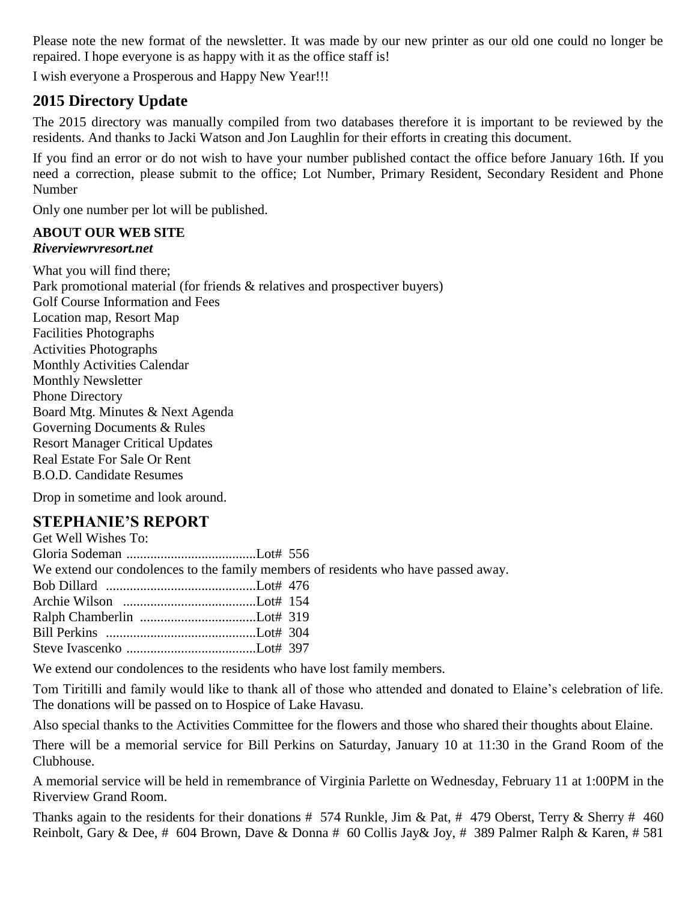Please note the new format of the newsletter. It was made by our new printer as our old one could no longer be repaired. I hope everyone is as happy with it as the office staff is!

I wish everyone a Prosperous and Happy New Year!!!

# **2015 Directory Update**

The 2015 directory was manually compiled from two databases therefore it is important to be reviewed by the residents. And thanks to Jacki Watson and Jon Laughlin for their efforts in creating this document.

If you find an error or do not wish to have your number published contact the office before January 16th. If you need a correction, please submit to the office; Lot Number, Primary Resident, Secondary Resident and Phone Number

Only one number per lot will be published.

#### **ABOUT OUR WEB SITE** *Riverviewrvresort.net*

What you will find there; Park promotional material (for friends & relatives and prospectiver buyers) Golf Course Information and Fees Location map, Resort Map Facilities Photographs Activities Photographs Monthly Activities Calendar Monthly Newsletter Phone Directory Board Mtg. Minutes & Next Agenda Governing Documents & Rules Resort Manager Critical Updates Real Estate For Sale Or Rent B.O.D. Candidate Resumes

Drop in sometime and look around.

# **STEPHANIE'S REPORT**

| We extend our condolences to the family members of residents who have passed away. |
|------------------------------------------------------------------------------------|
|                                                                                    |
|                                                                                    |
|                                                                                    |
|                                                                                    |
|                                                                                    |
|                                                                                    |

We extend our condolences to the residents who have lost family members.

Tom Tiritilli and family would like to thank all of those who attended and donated to Elaine's celebration of life. The donations will be passed on to Hospice of Lake Havasu.

Also special thanks to the Activities Committee for the flowers and those who shared their thoughts about Elaine.

There will be a memorial service for Bill Perkins on Saturday, January 10 at 11:30 in the Grand Room of the Clubhouse.

A memorial service will be held in remembrance of Virginia Parlette on Wednesday, February 11 at 1:00PM in the Riverview Grand Room.

Thanks again to the residents for their donations  $\# 574$  Runkle, Jim & Pat,  $\# 479$  Oberst, Terry & Sherry  $\# 460$ Reinbolt, Gary & Dee, # 604 Brown, Dave & Donna # 60 Collis Jay& Joy, # 389 Palmer Ralph & Karen, # 581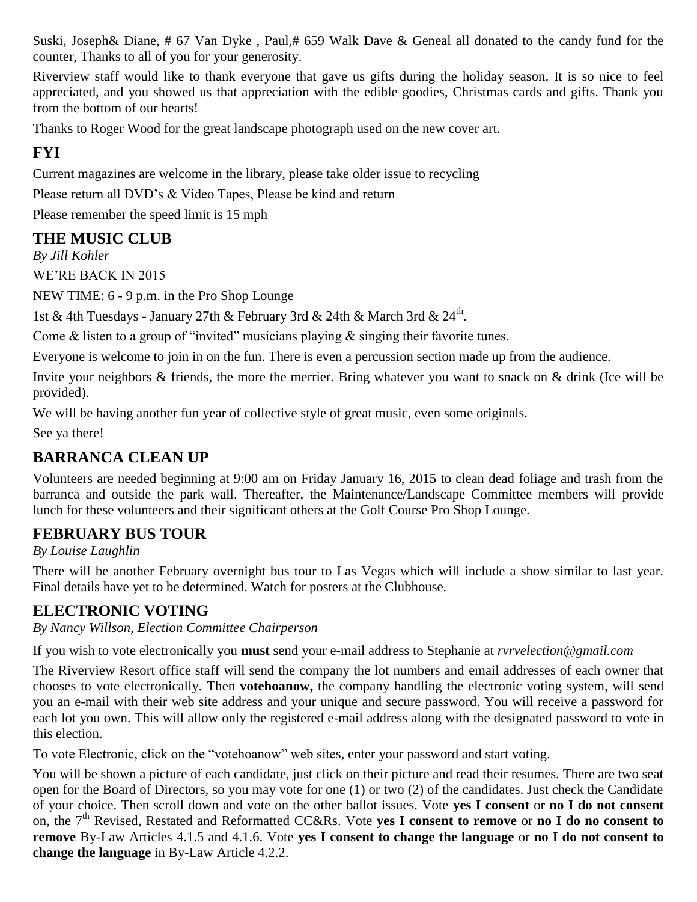Suski, Joseph& Diane, # 67 Van Dyke , Paul,# 659 Walk Dave & Geneal all donated to the candy fund for the counter, Thanks to all of you for your generosity.

Riverview staff would like to thank everyone that gave us gifts during the holiday season. It is so nice to feel appreciated, and you showed us that appreciation with the edible goodies, Christmas cards and gifts. Thank you from the bottom of our hearts!

Thanks to Roger Wood for the great landscape photograph used on the new cover art.

# **FYI**

Current magazines are welcome in the library, please take older issue to recycling

Please return all DVD's & Video Tapes, Please be kind and return

Please remember the speed limit is 15 mph

# **THE MUSIC CLUB**

*By Jill Kohler*

WE'RE BACK IN 2015

NEW TIME: 6 - 9 p.m. in the Pro Shop Lounge

1st & 4th Tuesdays - January 27th & February 3rd & 24th & March 3rd & 24<sup>th</sup>.

Come  $\&$  listen to a group of "invited" musicians playing  $\&$  singing their favorite tunes.

Everyone is welcome to join in on the fun. There is even a percussion section made up from the audience.

Invite your neighbors & friends, the more the merrier. Bring whatever you want to snack on & drink (Ice will be provided).

We will be having another fun year of collective style of great music, even some originals.

See ya there!

# **BARRANCA CLEAN UP**

Volunteers are needed beginning at 9:00 am on Friday January 16, 2015 to clean dead foliage and trash from the barranca and outside the park wall. Thereafter, the Maintenance/Landscape Committee members will provide lunch for these volunteers and their significant others at the Golf Course Pro Shop Lounge.

# **FEBRUARY BUS TOUR**

*By Louise Laughlin*

There will be another February overnight bus tour to Las Vegas which will include a show similar to last year. Final details have yet to be determined. Watch for posters at the Clubhouse.

# **ELECTRONIC VOTING**

*By Nancy Willson, Election Committee Chairperson*

If you wish to vote electronically you **must** send your e-mail address to Stephanie at *[rvrvelection@gmail.com](mailto:rvrvelection@gmail.com)*

The Riverview Resort office staff will send the company the lot numbers and email addresses of each owner that chooses to vote electronically. Then **votehoanow,** the company handling the electronic voting system, will send you an e-mail with their web site address and your unique and secure password. You will receive a password for each lot you own. This will allow only the registered e-mail address along with the designated password to vote in this election.

To vote Electronic, click on the "votehoanow" web sites, enter your password and start voting.

You will be shown a picture of each candidate, just click on their picture and read their resumes. There are two seat open for the Board of Directors, so you may vote for one (1) or two (2) of the candidates. Just check the Candidate of your choice. Then scroll down and vote on the other ballot issues. Vote **yes I consent** or **no I do not consent**  on, the 7<sup>th</sup> Revised, Restated and Reformatted CC&Rs. Vote **yes I consent to remove** or **no I do no consent to remove** By-Law Articles 4.1.5 and 4.1.6. Vote **yes I consent to change the language** or **no I do not consent to change the language** in By-Law Article 4.2.2.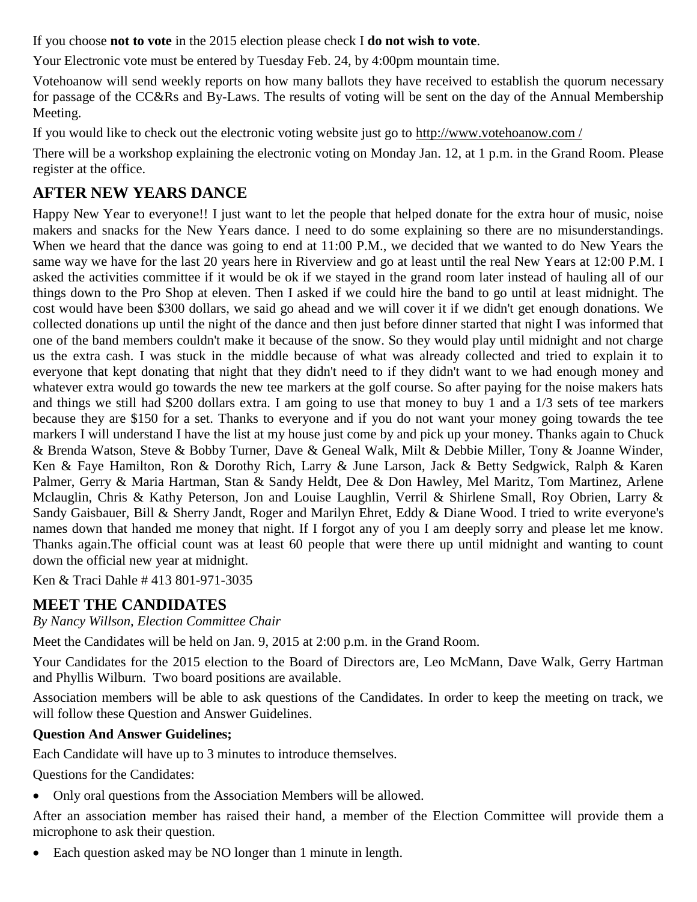If you choose **not to vote** in the 2015 election please check I **do not wish to vote**.

Your Electronic vote must be entered by Tuesday Feb. 24, by 4:00pm mountain time.

Votehoanow will send weekly reports on how many ballots they have received to establish the quorum necessary for passage of the CC&Rs and By-Laws. The results of voting will be sent on the day of the Annual Membership Meeting.

If you would like to check out the electronic voting website just go to http://www.votehoanow.com /

There will be a workshop explaining the electronic voting on Monday Jan. 12, at 1 p.m. in the Grand Room. Please register at the office.

# **AFTER NEW YEARS DANCE**

Happy New Year to everyone!! I just want to let the people that helped donate for the extra hour of music, noise makers and snacks for the New Years dance. I need to do some explaining so there are no misunderstandings. When we heard that the dance was going to end at 11:00 P.M., we decided that we wanted to do New Years the same way we have for the last 20 years here in Riverview and go at least until the real New Years at 12:00 P.M. I asked the activities committee if it would be ok if we stayed in the grand room later instead of hauling all of our things down to the Pro Shop at eleven. Then I asked if we could hire the band to go until at least midnight. The cost would have been \$300 dollars, we said go ahead and we will cover it if we didn't get enough donations. We collected donations up until the night of the dance and then just before dinner started that night I was informed that one of the band members couldn't make it because of the snow. So they would play until midnight and not charge us the extra cash. I was stuck in the middle because of what was already collected and tried to explain it to everyone that kept donating that night that they didn't need to if they didn't want to we had enough money and whatever extra would go towards the new tee markers at the golf course. So after paying for the noise makers hats and things we still had \$200 dollars extra. I am going to use that money to buy 1 and a 1/3 sets of tee markers because they are \$150 for a set. Thanks to everyone and if you do not want your money going towards the tee markers I will understand I have the list at my house just come by and pick up your money. Thanks again to Chuck & Brenda Watson, Steve & Bobby Turner, Dave & Geneal Walk, Milt & Debbie Miller, Tony & Joanne Winder, Ken & Faye Hamilton, Ron & Dorothy Rich, Larry & June Larson, Jack & Betty Sedgwick, Ralph & Karen Palmer, Gerry & Maria Hartman, Stan & Sandy Heldt, Dee & Don Hawley, Mel Maritz, Tom Martinez, Arlene Mclauglin, Chris & Kathy Peterson, Jon and Louise Laughlin, Verril & Shirlene Small, Roy Obrien, Larry & Sandy Gaisbauer, Bill & Sherry Jandt, Roger and Marilyn Ehret, Eddy & Diane Wood. I tried to write everyone's names down that handed me money that night. If I forgot any of you I am deeply sorry and please let me know. Thanks again.The official count was at least 60 people that were there up until midnight and wanting to count down the official new year at midnight.

Ken & Traci Dahle # 413 801-971-3035

# **MEET THE CANDIDATES**

*By Nancy Willson, Election Committee Chair*

Meet the Candidates will be held on Jan. 9, 2015 at 2:00 p.m. in the Grand Room.

Your Candidates for the 2015 election to the Board of Directors are, Leo McMann, Dave Walk, Gerry Hartman and Phyllis Wilburn. Two board positions are available.

Association members will be able to ask questions of the Candidates. In order to keep the meeting on track, we will follow these Question and Answer Guidelines.

## **Question And Answer Guidelines;**

Each Candidate will have up to 3 minutes to introduce themselves.

Questions for the Candidates:

Only oral questions from the Association Members will be allowed.

After an association member has raised their hand, a member of the Election Committee will provide them a microphone to ask their question.

Each question asked may be NO longer than 1 minute in length.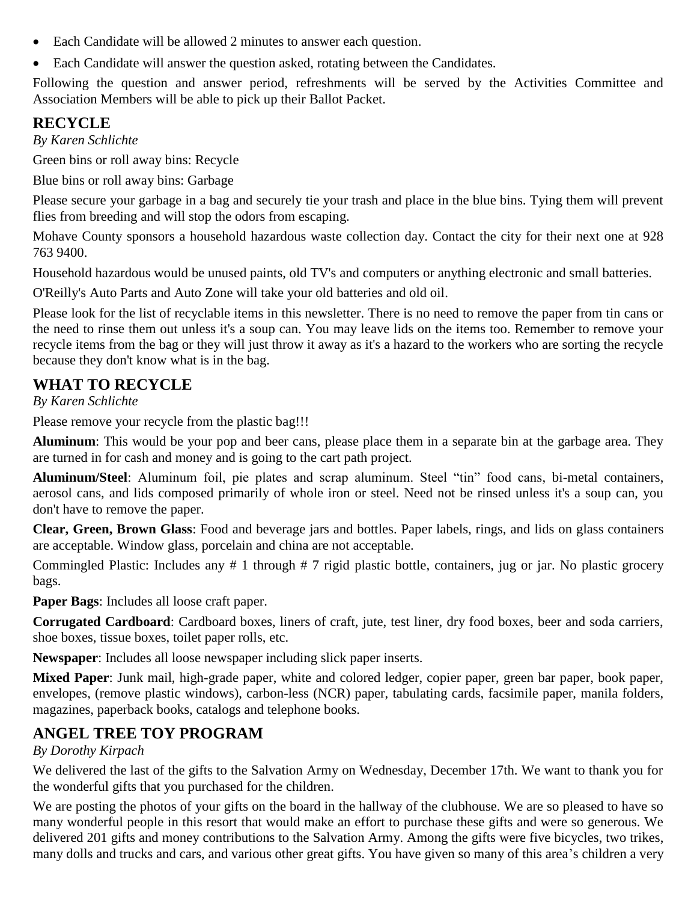- Each Candidate will be allowed 2 minutes to answer each question.
- Each Candidate will answer the question asked, rotating between the Candidates.

Following the question and answer period, refreshments will be served by the Activities Committee and Association Members will be able to pick up their Ballot Packet.

# **RECYCLE**

*By Karen Schlichte*

Green bins or roll away bins: Recycle

Blue bins or roll away bins: Garbage

Please secure your garbage in a bag and securely tie your trash and place in the blue bins. Tying them will prevent flies from breeding and will stop the odors from escaping.

Mohave County sponsors a household hazardous waste collection day. Contact the city for their next one at 928 763 9400.

Household hazardous would be unused paints, old TV's and computers or anything electronic and small batteries.

O'Reilly's Auto Parts and Auto Zone will take your old batteries and old oil.

Please look for the list of recyclable items in this newsletter. There is no need to remove the paper from tin cans or the need to rinse them out unless it's a soup can. You may leave lids on the items too. Remember to remove your recycle items from the bag or they will just throw it away as it's a hazard to the workers who are sorting the recycle because they don't know what is in the bag.

# **WHAT TO RECYCLE**

*By Karen Schlichte*

Please remove your recycle from the plastic bag!!!

**Aluminum**: This would be your pop and beer cans, please place them in a separate bin at the garbage area. They are turned in for cash and money and is going to the cart path project.

**Aluminum/Steel**: Aluminum foil, pie plates and scrap aluminum. Steel "tin" food cans, bi-metal containers, aerosol cans, and lids composed primarily of whole iron or steel. Need not be rinsed unless it's a soup can, you don't have to remove the paper.

**Clear, Green, Brown Glass**: Food and beverage jars and bottles. Paper labels, rings, and lids on glass containers are acceptable. Window glass, porcelain and china are not acceptable.

Commingled Plastic: Includes any # 1 through # 7 rigid plastic bottle, containers, jug or jar. No plastic grocery bags.

**Paper Bags**: Includes all loose craft paper.

**Corrugated Cardboard**: Cardboard boxes, liners of craft, jute, test liner, dry food boxes, beer and soda carriers, shoe boxes, tissue boxes, toilet paper rolls, etc.

**Newspaper**: Includes all loose newspaper including slick paper inserts.

**Mixed Paper**: Junk mail, high-grade paper, white and colored ledger, copier paper, green bar paper, book paper, envelopes, (remove plastic windows), carbon-less (NCR) paper, tabulating cards, facsimile paper, manila folders, magazines, paperback books, catalogs and telephone books.

# **ANGEL TREE TOY PROGRAM**

## *By Dorothy Kirpach*

We delivered the last of the gifts to the Salvation Army on Wednesday, December 17th. We want to thank you for the wonderful gifts that you purchased for the children.

We are posting the photos of your gifts on the board in the hallway of the clubhouse. We are so pleased to have so many wonderful people in this resort that would make an effort to purchase these gifts and were so generous. We delivered 201 gifts and money contributions to the Salvation Army. Among the gifts were five bicycles, two trikes, many dolls and trucks and cars, and various other great gifts. You have given so many of this area's children a very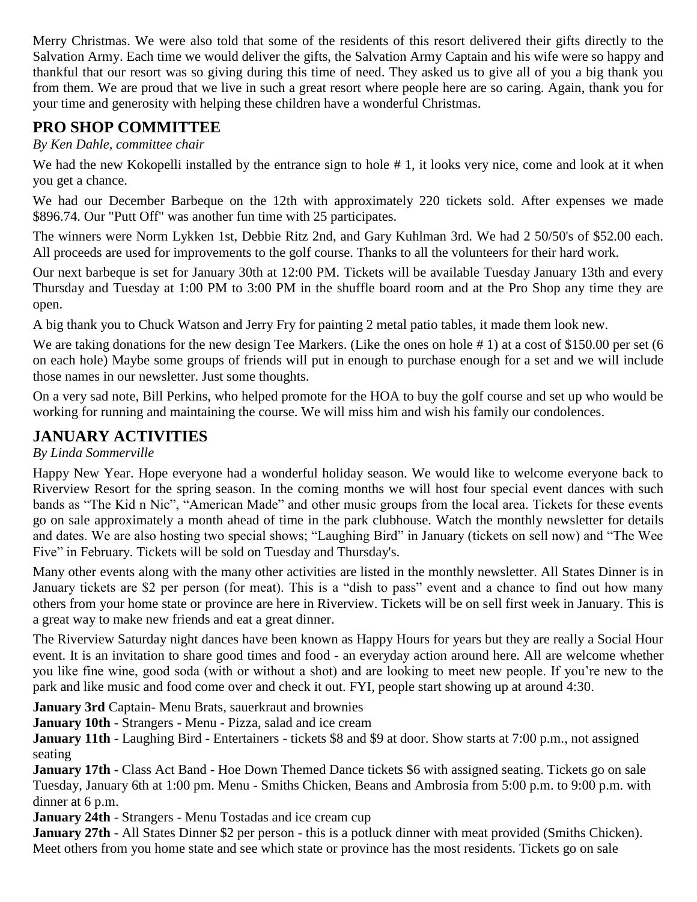Merry Christmas. We were also told that some of the residents of this resort delivered their gifts directly to the Salvation Army. Each time we would deliver the gifts, the Salvation Army Captain and his wife were so happy and thankful that our resort was so giving during this time of need. They asked us to give all of you a big thank you from them. We are proud that we live in such a great resort where people here are so caring. Again, thank you for your time and generosity with helping these children have a wonderful Christmas.

## **PRO SHOP COMMITTEE**

*By Ken Dahle, committee chair*

We had the new Kokopelli installed by the entrance sign to hole #1, it looks very nice, come and look at it when you get a chance.

We had our December Barbeque on the 12th with approximately 220 tickets sold. After expenses we made \$896.74. Our "Putt Off" was another fun time with 25 participates.

The winners were Norm Lykken 1st, Debbie Ritz 2nd, and Gary Kuhlman 3rd. We had 2 50/50's of \$52.00 each. All proceeds are used for improvements to the golf course. Thanks to all the volunteers for their hard work.

Our next barbeque is set for January 30th at 12:00 PM. Tickets will be available Tuesday January 13th and every Thursday and Tuesday at 1:00 PM to 3:00 PM in the shuffle board room and at the Pro Shop any time they are open.

A big thank you to Chuck Watson and Jerry Fry for painting 2 metal patio tables, it made them look new.

We are taking donations for the new design Tee Markers. (Like the ones on hole #1) at a cost of \$150.00 per set (6 on each hole) Maybe some groups of friends will put in enough to purchase enough for a set and we will include those names in our newsletter. Just some thoughts.

On a very sad note, Bill Perkins, who helped promote for the HOA to buy the golf course and set up who would be working for running and maintaining the course. We will miss him and wish his family our condolences.

## **JANUARY ACTIVITIES**

## *By Linda Sommerville*

Happy New Year. Hope everyone had a wonderful holiday season. We would like to welcome everyone back to Riverview Resort for the spring season. In the coming months we will host four special event dances with such bands as "The Kid n Nic", "American Made" and other music groups from the local area. Tickets for these events go on sale approximately a month ahead of time in the park clubhouse. Watch the monthly newsletter for details and dates. We are also hosting two special shows; "Laughing Bird" in January (tickets on sell now) and "The Wee Five" in February. Tickets will be sold on Tuesday and Thursday's.

Many other events along with the many other activities are listed in the monthly newsletter. All States Dinner is in January tickets are \$2 per person (for meat). This is a "dish to pass" event and a chance to find out how many others from your home state or province are here in Riverview. Tickets will be on sell first week in January. This is a great way to make new friends and eat a great dinner.

The Riverview Saturday night dances have been known as Happy Hours for years but they are really a Social Hour event. It is an invitation to share good times and food - an everyday action around here. All are welcome whether you like fine wine, good soda (with or without a shot) and are looking to meet new people. If you're new to the park and like music and food come over and check it out. FYI, people start showing up at around 4:30.

**January 3rd** Captain- Menu Brats, sauerkraut and brownies

**January 10th** - Strangers - Menu - Pizza, salad and ice cream

**January 11th** - Laughing Bird - Entertainers - tickets \$8 and \$9 at door. Show starts at 7:00 p.m., not assigned seating

**January 17th** - Class Act Band - Hoe Down Themed Dance tickets \$6 with assigned seating. Tickets go on sale Tuesday, January 6th at 1:00 pm. Menu - Smiths Chicken, Beans and Ambrosia from 5:00 p.m. to 9:00 p.m. with dinner at 6 p.m.

**January 24th** - Strangers - Menu Tostadas and ice cream cup

**January 27th** - All States Dinner \$2 per person - this is a potluck dinner with meat provided (Smiths Chicken). Meet others from you home state and see which state or province has the most residents. Tickets go on sale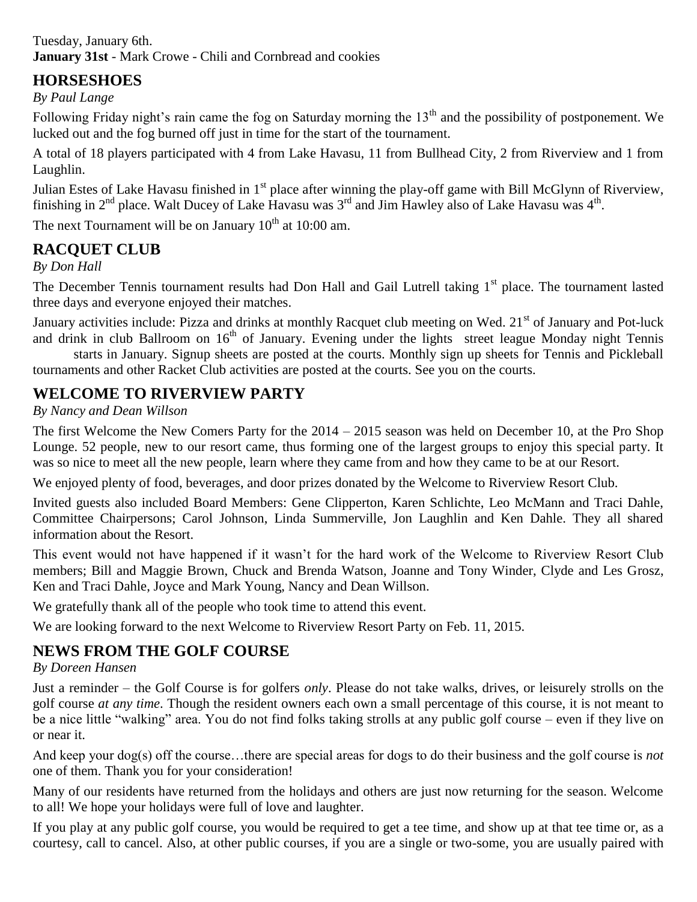Tuesday, January 6th. **January 31st** - Mark Crowe - Chili and Cornbread and cookies

# **HORSESHOES**

*By Paul Lange*

Following Friday night's rain came the fog on Saturday morning the 13<sup>th</sup> and the possibility of postponement. We lucked out and the fog burned off just in time for the start of the tournament.

A total of 18 players participated with 4 from Lake Havasu, 11 from Bullhead City, 2 from Riverview and 1 from Laughlin.

Julian Estes of Lake Havasu finished in 1<sup>st</sup> place after winning the play-off game with Bill McGlynn of Riverview, finishing in  $2^{nd}$  place. Walt Ducey of Lake Havasu was  $3^{rd}$  and Jim Hawley also of Lake Havasu was  $4^{th}$ .

The next Tournament will be on January  $10^{th}$  at 10:00 am.

# **RACQUET CLUB**

*By Don Hall*

The December Tennis tournament results had Don Hall and Gail Lutrell taking 1<sup>st</sup> place. The tournament lasted three days and everyone enjoyed their matches.

January activities include: Pizza and drinks at monthly Racquet club meeting on Wed. 21<sup>st</sup> of January and Pot-luck and drink in club Ballroom on  $16<sup>th</sup>$  of January. Evening under the lights street league Monday night Tennis

starts in January. Signup sheets are posted at the courts. Monthly sign up sheets for Tennis and Pickleball tournaments and other Racket Club activities are posted at the courts. See you on the courts.

# **WELCOME TO RIVERVIEW PARTY**

*By Nancy and Dean Willson*

The first Welcome the New Comers Party for the 2014 – 2015 season was held on December 10, at the Pro Shop Lounge. 52 people, new to our resort came, thus forming one of the largest groups to enjoy this special party. It was so nice to meet all the new people, learn where they came from and how they came to be at our Resort.

We enjoyed plenty of food, beverages, and door prizes donated by the Welcome to Riverview Resort Club.

Invited guests also included Board Members: Gene Clipperton, Karen Schlichte, Leo McMann and Traci Dahle, Committee Chairpersons; Carol Johnson, Linda Summerville, Jon Laughlin and Ken Dahle. They all shared information about the Resort.

This event would not have happened if it wasn't for the hard work of the Welcome to Riverview Resort Club members; Bill and Maggie Brown, Chuck and Brenda Watson, Joanne and Tony Winder, Clyde and Les Grosz, Ken and Traci Dahle, Joyce and Mark Young, Nancy and Dean Willson.

We gratefully thank all of the people who took time to attend this event.

We are looking forward to the next Welcome to Riverview Resort Party on Feb. 11, 2015.

# **NEWS FROM THE GOLF COURSE**

*By Doreen Hansen*

Just a reminder – the Golf Course is for golfers *only*. Please do not take walks, drives, or leisurely strolls on the golf course *at any time*. Though the resident owners each own a small percentage of this course, it is not meant to be a nice little "walking" area. You do not find folks taking strolls at any public golf course – even if they live on or near it.

And keep your dog(s) off the course…there are special areas for dogs to do their business and the golf course is *not* one of them. Thank you for your consideration!

Many of our residents have returned from the holidays and others are just now returning for the season. Welcome to all! We hope your holidays were full of love and laughter.

If you play at any public golf course, you would be required to get a tee time, and show up at that tee time or, as a courtesy, call to cancel. Also, at other public courses, if you are a single or two-some, you are usually paired with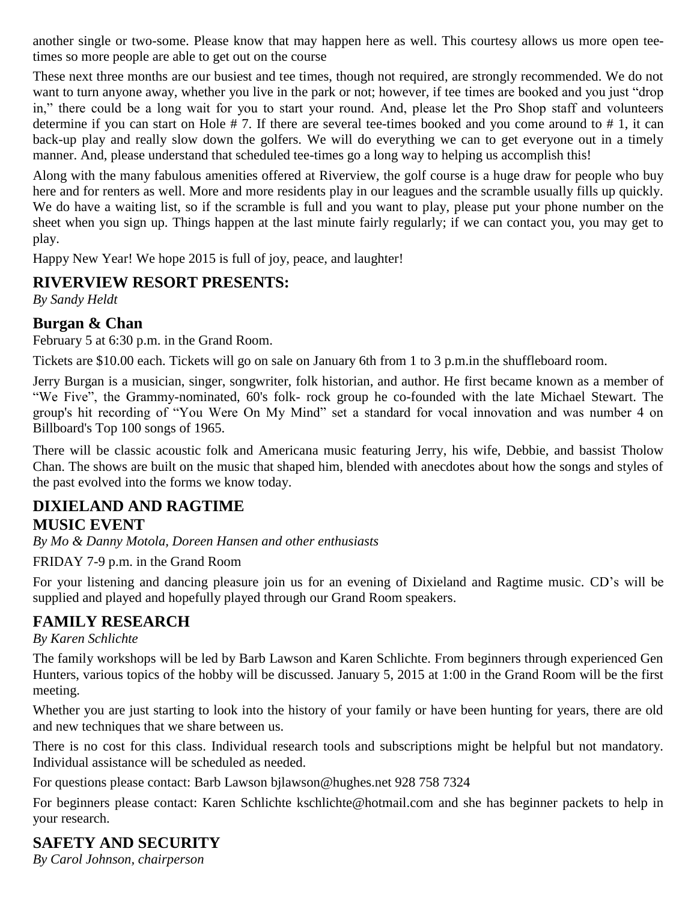another single or two-some. Please know that may happen here as well. This courtesy allows us more open teetimes so more people are able to get out on the course

These next three months are our busiest and tee times, though not required, are strongly recommended. We do not want to turn anyone away, whether you live in the park or not; however, if tee times are booked and you just "drop in," there could be a long wait for you to start your round. And, please let the Pro Shop staff and volunteers determine if you can start on Hole # 7. If there are several tee-times booked and you come around to # 1, it can back-up play and really slow down the golfers. We will do everything we can to get everyone out in a timely manner. And, please understand that scheduled tee-times go a long way to helping us accomplish this!

Along with the many fabulous amenities offered at Riverview, the golf course is a huge draw for people who buy here and for renters as well. More and more residents play in our leagues and the scramble usually fills up quickly. We do have a waiting list, so if the scramble is full and you want to play, please put your phone number on the sheet when you sign up. Things happen at the last minute fairly regularly; if we can contact you, you may get to play.

Happy New Year! We hope 2015 is full of joy, peace, and laughter!

# **RIVERVIEW RESORT PRESENTS:**

*By Sandy Heldt*

## **Burgan & Chan**

February 5 at 6:30 p.m. in the Grand Room.

Tickets are \$10.00 each. Tickets will go on sale on January 6th from 1 to 3 p.m.in the shuffleboard room.

Jerry Burgan is a musician, singer, songwriter, folk historian, and author. He first became known as a member of "We Five", the Grammy-nominated, 60's folk- rock group he co-founded with the late Michael Stewart. The group's hit recording of "You Were On My Mind" set a standard for vocal innovation and was number 4 on Billboard's Top 100 songs of 1965.

There will be classic acoustic folk and Americana music featuring Jerry, his wife, Debbie, and bassist Tholow Chan. The shows are built on the music that shaped him, blended with anecdotes about how the songs and styles of the past evolved into the forms we know today.

## **DIXIELAND AND RAGTIME MUSIC EVENT**

*By Mo & Danny Motola, Doreen Hansen and other enthusiasts*

FRIDAY 7-9 p.m. in the Grand Room

For your listening and dancing pleasure join us for an evening of Dixieland and Ragtime music. CD's will be supplied and played and hopefully played through our Grand Room speakers.

# **FAMILY RESEARCH**

## *By Karen Schlichte*

The family workshops will be led by Barb Lawson and Karen Schlichte. From beginners through experienced Gen Hunters, various topics of the hobby will be discussed. January 5, 2015 at 1:00 in the Grand Room will be the first meeting.

Whether you are just starting to look into the history of your family or have been hunting for years, there are old and new techniques that we share between us.

There is no cost for this class. Individual research tools and subscriptions might be helpful but not mandatory. Individual assistance will be scheduled as needed.

For questions please contact: Barb Lawson [bjlawson@hughes.net](mailto:bjlawson@hughes.net) 928 758 7324

For beginners please contact: Karen Schlichte [kschlichte@hotmail.com](mailto:kschlichte@hotmail.com) and she has beginner packets to help in your research.

# **SAFETY AND SECURITY**

*By Carol Johnson, chairperson*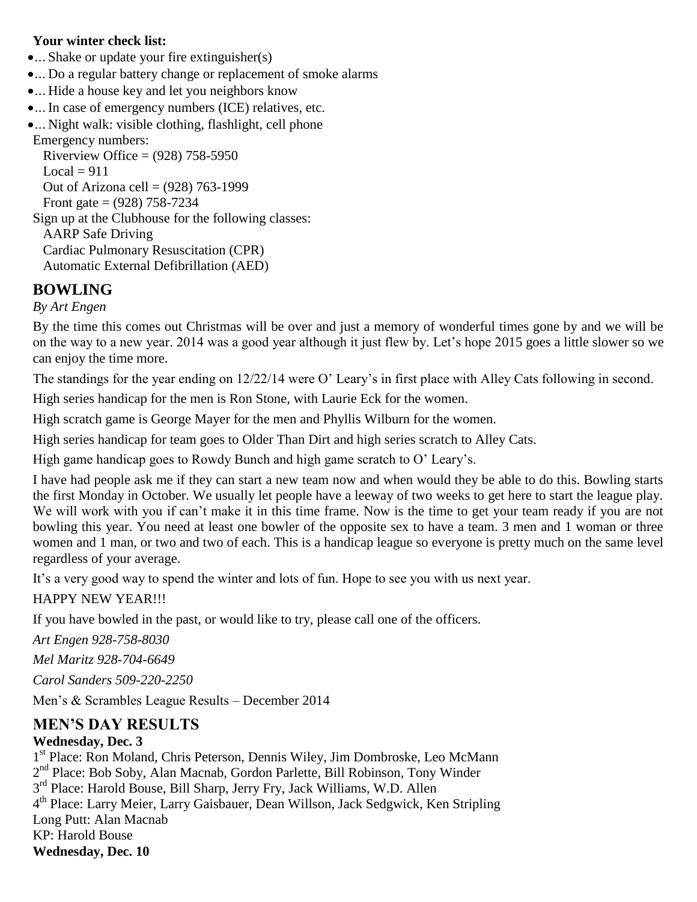#### **Your winter check list:**

•... Shake or update your fire extinguisher(s)

- ... Do a regular battery change or replacement of smoke alarms
- ... Hide a house key and let you neighbors know
- ... In case of emergency numbers (ICE) relatives, etc.

... Night walk: visible clothing, flashlight, cell phone Emergency numbers:

Riverview Office =  $(928)$  758-5950  $Local = 911$ Out of Arizona cell = (928) 763-1999 Front gate =  $(928)$  758-7234 Sign up at the Clubhouse for the following classes: AARP Safe Driving Cardiac Pulmonary Resuscitation (CPR) Automatic External Defibrillation (AED)

# **BOWLING**

*By Art Engen*

By the time this comes out Christmas will be over and just a memory of wonderful times gone by and we will be on the way to a new year. 2014 was a good year although it just flew by. Let's hope 2015 goes a little slower so we can enjoy the time more.

The standings for the year ending on 12/22/14 were O' Leary's in first place with Alley Cats following in second.

High series handicap for the men is Ron Stone, with Laurie Eck for the women.

High scratch game is George Mayer for the men and Phyllis Wilburn for the women.

High series handicap for team goes to Older Than Dirt and high series scratch to Alley Cats.

High game handicap goes to Rowdy Bunch and high game scratch to O' Leary's.

I have had people ask me if they can start a new team now and when would they be able to do this. Bowling starts the first Monday in October. We usually let people have a leeway of two weeks to get here to start the league play. We will work with you if can't make it in this time frame. Now is the time to get your team ready if you are not bowling this year. You need at least one bowler of the opposite sex to have a team. 3 men and 1 woman or three women and 1 man, or two and two of each. This is a handicap league so everyone is pretty much on the same level regardless of your average.

It's a very good way to spend the winter and lots of fun. Hope to see you with us next year.

HAPPY NEW YEAR!!!

If you have bowled in the past, or would like to try, please call one of the officers.

*Art Engen 928-758-8030*

*Mel Maritz 928-704-6649*

*Carol Sanders 509-220-2250* 

Men's & Scrambles League Results – December 2014

## **MEN'S DAY RESULTS**

## **Wednesday, Dec. 3**

1<sup>st</sup> Place: Ron Moland, Chris Peterson, Dennis Wiley, Jim Dombroske, Leo McMann 2<sup>nd</sup> Place: Bob Soby, Alan Macnab, Gordon Parlette, Bill Robinson, Tony Winder 3<sup>rd</sup> Place: Harold Bouse, Bill Sharp, Jerry Fry, Jack Williams, W.D. Allen 4 th Place: Larry Meier, Larry Gaisbauer, Dean Willson, Jack Sedgwick, Ken Stripling Long Putt: Alan Macnab KP: Harold Bouse **Wednesday, Dec. 10**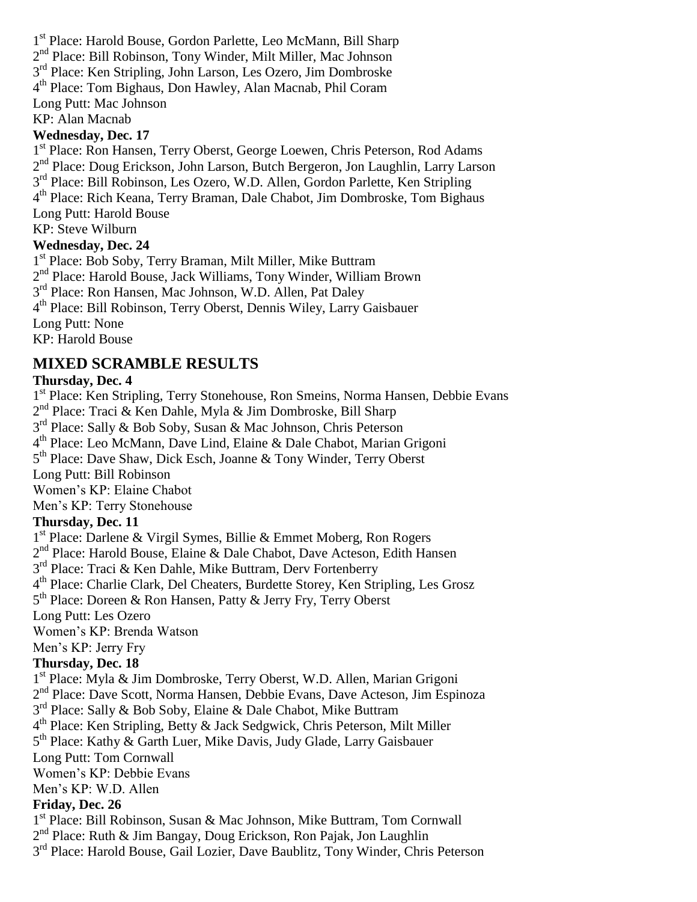1 st Place: Harold Bouse, Gordon Parlette, Leo McMann, Bill Sharp 2<sup>nd</sup> Place: Bill Robinson, Tony Winder, Milt Miller, Mac Johnson 3<sup>rd</sup> Place: Ken Stripling, John Larson, Les Ozero, Jim Dombroske 4 th Place: Tom Bighaus, Don Hawley, Alan Macnab, Phil Coram

Long Putt: Mac Johnson

KP: Alan Macnab

#### **Wednesday, Dec. 17**

1<sup>st</sup> Place: Ron Hansen, Terry Oberst, George Loewen, Chris Peterson, Rod Adams 2<sup>nd</sup> Place: Doug Erickson, John Larson, Butch Bergeron, Jon Laughlin, Larry Larson 3<sup>rd</sup> Place: Bill Robinson, Les Ozero, W.D. Allen, Gordon Parlette, Ken Stripling 4 th Place: Rich Keana, Terry Braman, Dale Chabot, Jim Dombroske, Tom Bighaus Long Putt: Harold Bouse

KP: Steve Wilburn

#### **Wednesday, Dec. 24**

1 st Place: Bob Soby, Terry Braman, Milt Miller, Mike Buttram 2 nd Place: Harold Bouse, Jack Williams, Tony Winder, William Brown 3<sup>rd</sup> Place: Ron Hansen, Mac Johnson, W.D. Allen, Pat Daley 4 th Place: Bill Robinson, Terry Oberst, Dennis Wiley, Larry Gaisbauer Long Putt: None KP: Harold Bouse

## **MIXED SCRAMBLE RESULTS**

## **Thursday, Dec. 4**

1<sup>st</sup> Place: Ken Stripling, Terry Stonehouse, Ron Smeins, Norma Hansen, Debbie Evans 2<sup>nd</sup> Place: Traci & Ken Dahle, Myla & Jim Dombroske, Bill Sharp 3<sup>rd</sup> Place: Sally & Bob Soby, Susan & Mac Johnson, Chris Peterson 4 th Place: Leo McMann, Dave Lind, Elaine & Dale Chabot, Marian Grigoni 5<sup>th</sup> Place: Dave Shaw, Dick Esch, Joanne & Tony Winder, Terry Oberst Long Putt: Bill Robinson Women's KP: Elaine Chabot Men's KP: Terry Stonehouse **Thursday, Dec. 11** 1 st Place: Darlene & Virgil Symes, Billie & Emmet Moberg, Ron Rogers 2<sup>nd</sup> Place: Harold Bouse, Elaine & Dale Chabot, Dave Acteson, Edith Hansen 3<sup>rd</sup> Place: Traci & Ken Dahle, Mike Buttram, Derv Fortenberry 4<sup>th</sup> Place: Charlie Clark, Del Cheaters, Burdette Storey, Ken Stripling, Les Grosz 5<sup>th</sup> Place: Doreen & Ron Hansen, Patty & Jerry Fry, Terry Oberst Long Putt: Les Ozero Women's KP: Brenda Watson Men's KP: Jerry Fry **Thursday, Dec. 18** 1 st Place: Myla & Jim Dombroske, Terry Oberst, W.D. Allen, Marian Grigoni 2<sup>nd</sup> Place: Dave Scott, Norma Hansen, Debbie Evans, Dave Acteson, Jim Espinoza 3<sup>rd</sup> Place: Sally & Bob Soby, Elaine & Dale Chabot, Mike Buttram 4 th Place: Ken Stripling, Betty & Jack Sedgwick, Chris Peterson, Milt Miller 5<sup>th</sup> Place: Kathy & Garth Luer, Mike Davis, Judy Glade, Larry Gaisbauer Long Putt: Tom Cornwall Women's KP: Debbie Evans Men's KP: W.D. Allen

#### **Friday, Dec. 26**

1<sup>st</sup> Place: Bill Robinson, Susan & Mac Johnson, Mike Buttram, Tom Cornwall

2<sup>nd</sup> Place: Ruth & Jim Bangay, Doug Erickson, Ron Pajak, Jon Laughlin

3<sup>rd</sup> Place: Harold Bouse, Gail Lozier, Dave Baublitz, Tony Winder, Chris Peterson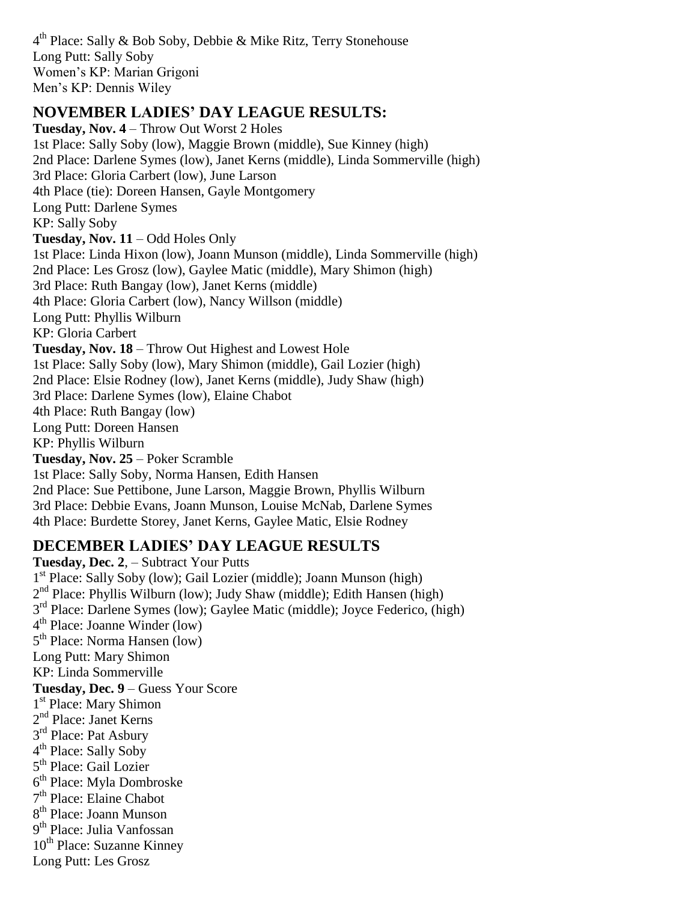4<sup>th</sup> Place: Sally & Bob Soby, Debbie & Mike Ritz, Terry Stonehouse Long Putt: Sally Soby Women's KP: Marian Grigoni Men's KP: Dennis Wiley

## **NOVEMBER LADIES' DAY LEAGUE RESULTS:**

**Tuesday, Nov. 4** – Throw Out Worst 2 Holes 1st Place: Sally Soby (low), Maggie Brown (middle), Sue Kinney (high) 2nd Place: Darlene Symes (low), Janet Kerns (middle), Linda Sommerville (high) 3rd Place: Gloria Carbert (low), June Larson 4th Place (tie): Doreen Hansen, Gayle Montgomery Long Putt: Darlene Symes KP: Sally Soby **Tuesday, Nov. 11** – Odd Holes Only 1st Place: Linda Hixon (low), Joann Munson (middle), Linda Sommerville (high) 2nd Place: Les Grosz (low), Gaylee Matic (middle), Mary Shimon (high) 3rd Place: Ruth Bangay (low), Janet Kerns (middle) 4th Place: Gloria Carbert (low), Nancy Willson (middle) Long Putt: Phyllis Wilburn KP: Gloria Carbert **Tuesday, Nov. 18** – Throw Out Highest and Lowest Hole 1st Place: Sally Soby (low), Mary Shimon (middle), Gail Lozier (high) 2nd Place: Elsie Rodney (low), Janet Kerns (middle), Judy Shaw (high) 3rd Place: Darlene Symes (low), Elaine Chabot 4th Place: Ruth Bangay (low) Long Putt: Doreen Hansen KP: Phyllis Wilburn **Tuesday, Nov. 25** – Poker Scramble 1st Place: Sally Soby, Norma Hansen, Edith Hansen 2nd Place: Sue Pettibone, June Larson, Maggie Brown, Phyllis Wilburn 3rd Place: Debbie Evans, Joann Munson, Louise McNab, Darlene Symes 4th Place: Burdette Storey, Janet Kerns, Gaylee Matic, Elsie Rodney

# **DECEMBER LADIES' DAY LEAGUE RESULTS**

**Tuesday, Dec. 2**, – Subtract Your Putts 1 st Place: Sally Soby (low); Gail Lozier (middle); Joann Munson (high) 2<sup>nd</sup> Place: Phyllis Wilburn (low); Judy Shaw (middle); Edith Hansen (high) 3<sup>rd</sup> Place: Darlene Symes (low); Gaylee Matic (middle); Joyce Federico, (high) 4 th Place: Joanne Winder (low) 5<sup>th</sup> Place: Norma Hansen (low) Long Putt: Mary Shimon KP: Linda Sommerville **Tuesday, Dec. 9** – Guess Your Score 1<sup>st</sup> Place: Mary Shimon 2<sup>nd</sup> Place: Janet Kerns 3<sup>rd</sup> Place: Pat Asbury 4<sup>th</sup> Place: Sally Soby 5<sup>th</sup> Place: Gail Lozier 6<sup>th</sup> Place: Myla Dombroske 7<sup>th</sup> Place: Elaine Chabot 8<sup>th</sup> Place: Joann Munson 9<sup>th</sup> Place: Julia Vanfossan 10<sup>th</sup> Place: Suzanne Kinney Long Putt: Les Grosz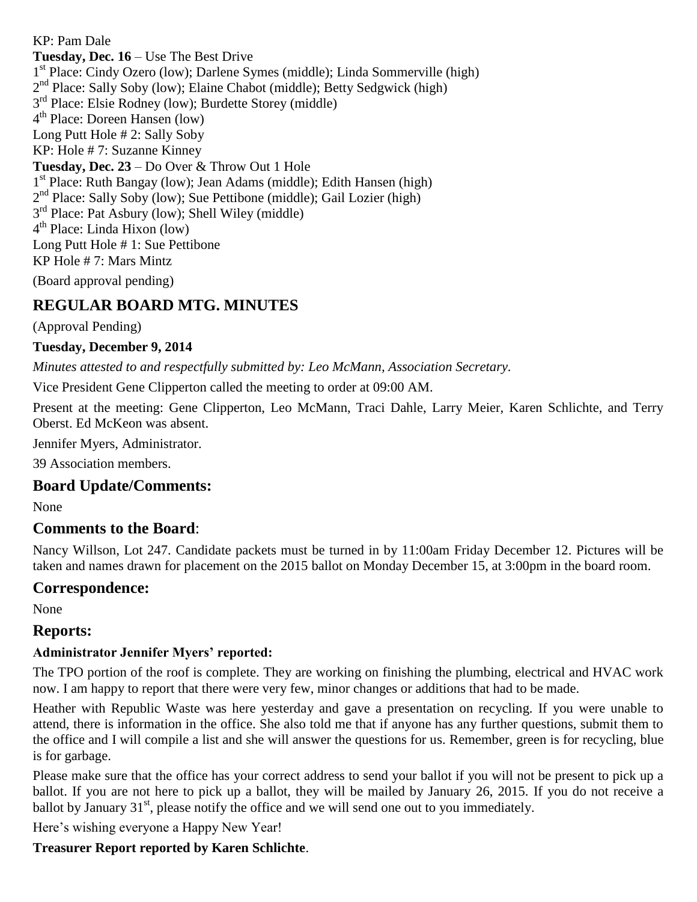KP: Pam Dale **Tuesday, Dec. 16** – Use The Best Drive 1 st Place: Cindy Ozero (low); Darlene Symes (middle); Linda Sommerville (high) 2<sup>nd</sup> Place: Sally Soby (low); Elaine Chabot (middle); Betty Sedgwick (high) 3<sup>rd</sup> Place: Elsie Rodney (low); Burdette Storey (middle) 4 th Place: Doreen Hansen (low) Long Putt Hole # 2: Sally Soby KP: Hole # 7: Suzanne Kinney **Tuesday, Dec. 23** – Do Over & Throw Out 1 Hole 1 st Place: Ruth Bangay (low); Jean Adams (middle); Edith Hansen (high) 2<sup>nd</sup> Place: Sally Soby (low); Sue Pettibone (middle); Gail Lozier (high) 3<sup>rd</sup> Place: Pat Asbury (low); Shell Wiley (middle) 4 th Place: Linda Hixon (low) Long Putt Hole # 1: Sue Pettibone KP Hole # 7: Mars Mintz

(Board approval pending)

# **REGULAR BOARD MTG. MINUTES**

(Approval Pending)

#### **Tuesday, December 9, 2014**

*Minutes attested to and respectfully submitted by: Leo McMann, Association Secretary.*

Vice President Gene Clipperton called the meeting to order at 09:00 AM.

Present at the meeting: Gene Clipperton, Leo McMann, Traci Dahle, Larry Meier, Karen Schlichte, and Terry Oberst. Ed McKeon was absent.

Jennifer Myers, Administrator.

39 Association members.

#### **Board Update/Comments:**

None

#### **Comments to the Board**:

Nancy Willson, Lot 247. Candidate packets must be turned in by 11:00am Friday December 12. Pictures will be taken and names drawn for placement on the 2015 ballot on Monday December 15, at 3:00pm in the board room.

#### **Correspondence:**

None

## **Reports:**

#### **Administrator Jennifer Myers' reported:**

The TPO portion of the roof is complete. They are working on finishing the plumbing, electrical and HVAC work now. I am happy to report that there were very few, minor changes or additions that had to be made.

Heather with Republic Waste was here yesterday and gave a presentation on recycling. If you were unable to attend, there is information in the office. She also told me that if anyone has any further questions, submit them to the office and I will compile a list and she will answer the questions for us. Remember, green is for recycling, blue is for garbage.

Please make sure that the office has your correct address to send your ballot if you will not be present to pick up a ballot. If you are not here to pick up a ballot, they will be mailed by January 26, 2015. If you do not receive a ballot by January  $31<sup>st</sup>$ , please notify the office and we will send one out to you immediately.

Here's wishing everyone a Happy New Year!

#### **Treasurer Report reported by Karen Schlichte**.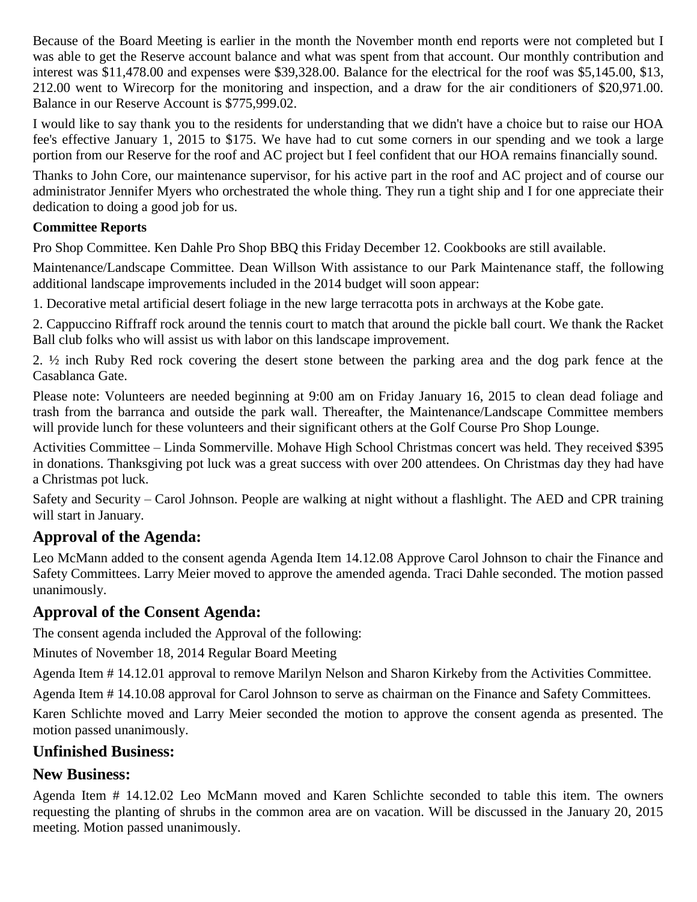Because of the Board Meeting is earlier in the month the November month end reports were not completed but I was able to get the Reserve account balance and what was spent from that account. Our monthly contribution and interest was \$11,478.00 and expenses were \$39,328.00. Balance for the electrical for the roof was \$5,145.00, \$13, 212.00 went to Wirecorp for the monitoring and inspection, and a draw for the air conditioners of \$20,971.00. Balance in our Reserve Account is \$775,999.02.

I would like to say thank you to the residents for understanding that we didn't have a choice but to raise our HOA fee's effective January 1, 2015 to \$175. We have had to cut some corners in our spending and we took a large portion from our Reserve for the roof and AC project but I feel confident that our HOA remains financially sound.

Thanks to John Core, our maintenance supervisor, for his active part in the roof and AC project and of course our administrator Jennifer Myers who orchestrated the whole thing. They run a tight ship and I for one appreciate their dedication to doing a good job for us.

## **Committee Reports**

Pro Shop Committee. Ken Dahle Pro Shop BBQ this Friday December 12. Cookbooks are still available.

Maintenance/Landscape Committee. Dean Willson With assistance to our Park Maintenance staff, the following additional landscape improvements included in the 2014 budget will soon appear:

1. Decorative metal artificial desert foliage in the new large terracotta pots in archways at the Kobe gate.

2. Cappuccino Riffraff rock around the tennis court to match that around the pickle ball court. We thank the Racket Ball club folks who will assist us with labor on this landscape improvement.

2. ½ inch Ruby Red rock covering the desert stone between the parking area and the dog park fence at the Casablanca Gate.

Please note: Volunteers are needed beginning at 9:00 am on Friday January 16, 2015 to clean dead foliage and trash from the barranca and outside the park wall. Thereafter, the Maintenance/Landscape Committee members will provide lunch for these volunteers and their significant others at the Golf Course Pro Shop Lounge.

Activities Committee – Linda Sommerville. Mohave High School Christmas concert was held. They received \$395 in donations. Thanksgiving pot luck was a great success with over 200 attendees. On Christmas day they had have a Christmas pot luck.

Safety and Security – Carol Johnson. People are walking at night without a flashlight. The AED and CPR training will start in January.

# **Approval of the Agenda:**

Leo McMann added to the consent agenda Agenda Item 14.12.08 Approve Carol Johnson to chair the Finance and Safety Committees. Larry Meier moved to approve the amended agenda. Traci Dahle seconded. The motion passed unanimously.

# **Approval of the Consent Agenda:**

The consent agenda included the Approval of the following:

Minutes of November 18, 2014 Regular Board Meeting

Agenda Item # 14.12.01 approval to remove Marilyn Nelson and Sharon Kirkeby from the Activities Committee.

Agenda Item # 14.10.08 approval for Carol Johnson to serve as chairman on the Finance and Safety Committees.

Karen Schlichte moved and Larry Meier seconded the motion to approve the consent agenda as presented. The motion passed unanimously.

## **Unfinished Business:**

## **New Business:**

Agenda Item # 14.12.02 Leo McMann moved and Karen Schlichte seconded to table this item. The owners requesting the planting of shrubs in the common area are on vacation. Will be discussed in the January 20, 2015 meeting. Motion passed unanimously.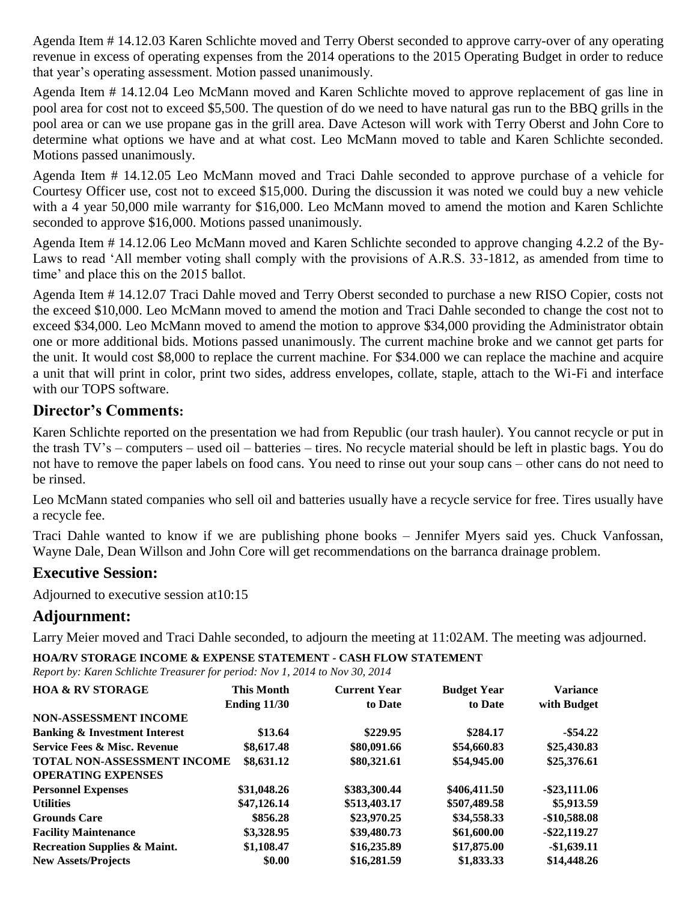Agenda Item # 14.12.03 Karen Schlichte moved and Terry Oberst seconded to approve carry-over of any operating revenue in excess of operating expenses from the 2014 operations to the 2015 Operating Budget in order to reduce that year's operating assessment. Motion passed unanimously.

Agenda Item # 14.12.04 Leo McMann moved and Karen Schlichte moved to approve replacement of gas line in pool area for cost not to exceed \$5,500. The question of do we need to have natural gas run to the BBQ grills in the pool area or can we use propane gas in the grill area. Dave Acteson will work with Terry Oberst and John Core to determine what options we have and at what cost. Leo McMann moved to table and Karen Schlichte seconded. Motions passed unanimously.

Agenda Item # 14.12.05 Leo McMann moved and Traci Dahle seconded to approve purchase of a vehicle for Courtesy Officer use, cost not to exceed \$15,000. During the discussion it was noted we could buy a new vehicle with a 4 year 50,000 mile warranty for \$16,000. Leo McMann moved to amend the motion and Karen Schlichte seconded to approve \$16,000. Motions passed unanimously.

Agenda Item # 14.12.06 Leo McMann moved and Karen Schlichte seconded to approve changing 4.2.2 of the By-Laws to read 'All member voting shall comply with the provisions of A.R.S. 33-1812, as amended from time to time' and place this on the 2015 ballot.

Agenda Item # 14.12.07 Traci Dahle moved and Terry Oberst seconded to purchase a new RISO Copier, costs not the exceed \$10,000. Leo McMann moved to amend the motion and Traci Dahle seconded to change the cost not to exceed \$34,000. Leo McMann moved to amend the motion to approve \$34,000 providing the Administrator obtain one or more additional bids. Motions passed unanimously. The current machine broke and we cannot get parts for the unit. It would cost \$8,000 to replace the current machine. For \$34.000 we can replace the machine and acquire a unit that will print in color, print two sides, address envelopes, collate, staple, attach to the Wi-Fi and interface with our TOPS software.

## **Director's Comments:**

Karen Schlichte reported on the presentation we had from Republic (our trash hauler). You cannot recycle or put in the trash TV's – computers – used oil – batteries – tires. No recycle material should be left in plastic bags. You do not have to remove the paper labels on food cans. You need to rinse out your soup cans – other cans do not need to be rinsed.

Leo McMann stated companies who sell oil and batteries usually have a recycle service for free. Tires usually have a recycle fee.

Traci Dahle wanted to know if we are publishing phone books – Jennifer Myers said yes. Chuck Vanfossan, Wayne Dale, Dean Willson and John Core will get recommendations on the barranca drainage problem.

## **Executive Session:**

Adjourned to executive session at10:15

## **Adjournment:**

Larry Meier moved and Traci Dahle seconded, to adjourn the meeting at 11:02AM. The meeting was adjourned.

**HOA/RV STORAGE INCOME & EXPENSE STATEMENT - CASH FLOW STATEMENT**

*Report by: Karen Schlichte Treasurer for period: Nov 1, 2014 to Nov 30, 2014*

| <b>HOA &amp; RV STORAGE</b>              | <b>This Month</b>   | <b>Current Year</b> | <b>Budget Year</b> | <b>Variance</b> |
|------------------------------------------|---------------------|---------------------|--------------------|-----------------|
|                                          | <b>Ending 11/30</b> | to Date             | to Date            | with Budget     |
| <b>NON-ASSESSMENT INCOME</b>             |                     |                     |                    |                 |
| <b>Banking &amp; Investment Interest</b> | \$13.64             | \$229.95            | \$284.17           | $-$ \$54.22     |
| <b>Service Fees &amp; Misc. Revenue</b>  | \$8,617.48          | \$80,091.66         | \$54,660.83        | \$25,430.83     |
| TOTAL NON-ASSESSMENT INCOME              | \$8,631.12          | \$80,321.61         | \$54,945.00        | \$25,376.61     |
| <b>OPERATING EXPENSES</b>                |                     |                     |                    |                 |
| <b>Personnel Expenses</b>                | \$31,048.26         | \$383,300.44        | \$406,411.50       | $-$ \$23,111.06 |
| <b>Utilities</b>                         | \$47,126.14         | \$513,403.17        | \$507,489.58       | \$5,913.59      |
| <b>Grounds Care</b>                      | \$856.28            | \$23,970.25         | \$34,558.33        | $-$10,588.08$   |
| <b>Facility Maintenance</b>              | \$3,328.95          | \$39,480.73         | \$61,600.00        | $-$ \$22,119.27 |
| <b>Recreation Supplies &amp; Maint.</b>  | \$1,108.47          | \$16,235.89         | \$17,875.00        | $-$1,639.11$    |
| <b>New Assets/Projects</b>               | \$0.00              | \$16,281.59         | \$1,833.33         | \$14,448.26     |